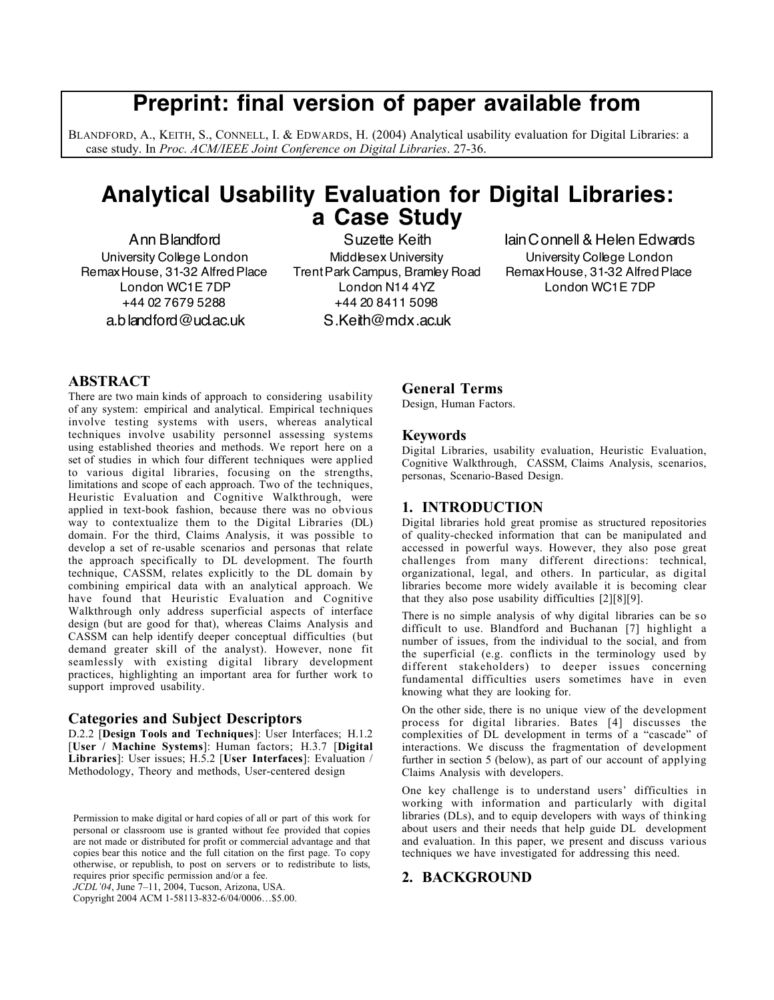# **Preprint: final version of paper available from**

BLANDFORD, A., KEITH, S., CONNELL, I. & EDWARDS, H. (2004) Analytical usability evaluation for Digital Libraries: a case study. In *Proc. ACM/IEEE Joint Conference on Digital Libraries*. 27-36.

# **Analytical Usability Evaluation for Digital Libraries: a Case Study**

Ann Blandford University College London RemaxHouse, 31-32 AlfredPlace London WC1E 7DP +44 02 7679 5288 a.blandford@ucl.ac.uk

Suzette Keith Middlesex University TrentPark Campus, Bramley Road London N14 4YZ +44 20 8411 5098 S.Keith@mdx.ac.uk

IainConnell & Helen Edwards University College London RemaxHouse, 31-32 AlfredPlace London WC1E 7DP

## **ABSTRACT**

There are two main kinds of approach to considering usability of any system: empirical and analytical. Empirical techniques involve testing systems with users, whereas analytical techniques involve usability personnel assessing systems using established theories and methods. We report here on a set of studies in which four different techniques were applied to various digital libraries, focusing on the strengths, limitations and scope of each approach. Two of the techniques, Heuristic Evaluation and Cognitive Walkthrough, were applied in text-book fashion, because there was no obvious way to contextualize them to the Digital Libraries (DL) domain. For the third, Claims Analysis, it was possible to develop a set of re-usable scenarios and personas that relate the approach specifically to DL development. The fourth technique, CASSM, relates explicitly to the DL domain by combining empirical data with an analytical approach. We have found that Heuristic Evaluation and Cognitive Walkthrough only address superficial aspects of interface design (but are good for that), whereas Claims Analysis and CASSM can help identify deeper conceptual difficulties (but demand greater skill of the analyst). However, none fit seamlessly with existing digital library development practices, highlighting an important area for further work to support improved usability.

#### **Categories and Subject Descriptors**

D.2.2 [**Design Tools and Techniques**]: User Interfaces; H.1.2 [**User / Machine Systems**]: Human factors; H.3.7 [**Digital Libraries**]: User issues; H.5.2 [**User Interfaces**]: Evaluation / Methodology, Theory and methods, User-centered design

*JCDL'04*, June 7–11, 2004, Tucson, Arizona, USA.

Copyright 2004 ACM 1-58113-832-6/04/0006…\$5.00.

#### **General Terms**

Design, Human Factors.

#### **Keywords**

Digital Libraries, usability evaluation, Heuristic Evaluation, Cognitive Walkthrough, CASSM, Claims Analysis, scenarios, personas, Scenario-Based Design.

#### **1. INTRODUCTION**

Digital libraries hold great promise as structured repositories of quality-checked information that can be manipulated and accessed in powerful ways. However, they also pose great challenges from many different directions: technical, organizational, legal, and others. In particular, as digital libraries become more widely available it is becoming clear that they also pose usability difficulties [2][8][9].

There is no simple analysis of why digital libraries can be so difficult to use. Blandford and Buchanan [7] highlight a number of issues, from the individual to the social, and from the superficial (e.g. conflicts in the terminology used by different stakeholders) to deeper issues concerning fundamental difficulties users sometimes have in even knowing what they are looking for.

On the other side, there is no unique view of the development process for digital libraries. Bates [4] discusses the complexities of DL development in terms of a "cascade" of interactions. We discuss the fragmentation of development further in section 5 (below), as part of our account of applying Claims Analysis with developers.

One key challenge is to understand users' difficulties in working with information and particularly with digital libraries (DLs), and to equip developers with ways of thinking about users and their needs that help guide DL development and evaluation. In this paper, we present and discuss various techniques we have investigated for addressing this need.

# **2. BACKGROUND**

Permission to make digital or hard copies of all or part of this work for personal or classroom use is granted without fee provided that copies are not made or distributed for profit or commercial advantage and that copies bear this notice and the full citation on the first page. To copy otherwise, or republish, to post on servers or to redistribute to lists, requires prior specific permission and/or a fee.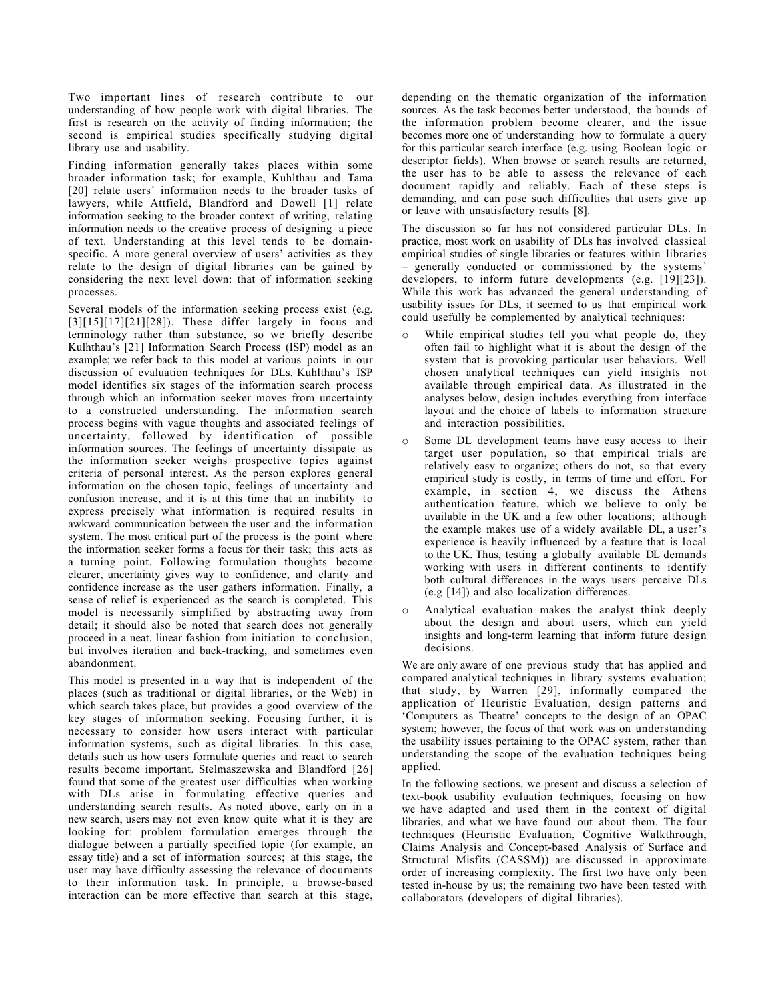Two important lines of research contribute to our understanding of how people work with digital libraries. The first is research on the activity of finding information; the second is empirical studies specifically studying digital library use and usability.

Finding information generally takes places within some broader information task; for example, Kuhlthau and Tama [20] relate users' information needs to the broader tasks of lawyers, while Attfield, Blandford and Dowell [1] relate information seeking to the broader context of writing, relating information needs to the creative process of designing a piece of text. Understanding at this level tends to be domainspecific. A more general overview of users' activities as they relate to the design of digital libraries can be gained by considering the next level down: that of information seeking processes.

Several models of the information seeking process exist (e.g.  $[3][15][17][21][28]$ . These differ largely in focus and terminology rather than substance, so we briefly describe Kulhthau's [21] Information Search Process (ISP) model as an example; we refer back to this model at various points in our discussion of evaluation techniques for DLs. Kuhlthau's ISP model identifies six stages of the information search process through which an information seeker moves from uncertainty to a constructed understanding. The information search process begins with vague thoughts and associated feelings of uncertainty, followed by identification of possible information sources. The feelings of uncertainty dissipate as the information seeker weighs prospective topics against criteria of personal interest. As the person explores general information on the chosen topic, feelings of uncertainty and confusion increase, and it is at this time that an inability to express precisely what information is required results in awkward communication between the user and the information system. The most critical part of the process is the point where the information seeker forms a focus for their task; this acts as a turning point. Following formulation thoughts become clearer, uncertainty gives way to confidence, and clarity and confidence increase as the user gathers information. Finally, a sense of relief is experienced as the search is completed. This model is necessarily simplified by abstracting away from detail; it should also be noted that search does not generally proceed in a neat, linear fashion from initiation to conclusion, but involves iteration and back-tracking, and sometimes even abandonment.

This model is presented in a way that is independent of the places (such as traditional or digital libraries, or the Web) in which search takes place, but provides a good overview of the key stages of information seeking. Focusing further, it is necessary to consider how users interact with particular information systems, such as digital libraries. In this case, details such as how users formulate queries and react to search results become important. Stelmaszewska and Blandford [26] found that some of the greatest user difficulties when working with DLs arise in formulating effective queries and understanding search results. As noted above, early on in a new search, users may not even know quite what it is they are looking for: problem formulation emerges through the dialogue between a partially specified topic (for example, an essay title) and a set of information sources; at this stage, the user may have difficulty assessing the relevance of documents to their information task. In principle, a browse-based interaction can be more effective than search at this stage,

depending on the thematic organization of the information sources. As the task becomes better understood, the bounds of the information problem become clearer, and the issue becomes more one of understanding how to formulate a query for this particular search interface (e.g. using Boolean logic or descriptor fields). When browse or search results are returned, the user has to be able to assess the relevance of each document rapidly and reliably. Each of these steps is demanding, and can pose such difficulties that users give up or leave with unsatisfactory results [8].

The discussion so far has not considered particular DLs. In practice, most work on usability of DLs has involved classical empirical studies of single libraries or features within libraries – generally conducted or commissioned by the systems' developers, to inform future developments (e.g. [19][23]). While this work has advanced the general understanding of usability issues for DLs, it seemed to us that empirical work could usefully be complemented by analytical techniques:

- o While empirical studies tell you what people do, they often fail to highlight what it is about the design of the system that is provoking particular user behaviors. Well chosen analytical techniques can yield insights not available through empirical data. As illustrated in the analyses below, design includes everything from interface layout and the choice of labels to information structure and interaction possibilities.
- o Some DL development teams have easy access to their target user population, so that empirical trials are relatively easy to organize; others do not, so that every empirical study is costly, in terms of time and effort. For example, in section 4, we discuss the Athens authentication feature, which we believe to only be available in the UK and a few other locations; although the example makes use of a widely available DL, a user's experience is heavily influenced by a feature that is local to the UK. Thus, testing a globally available DL demands working with users in different continents to identify both cultural differences in the ways users perceive DLs (e.g [14]) and also localization differences.
- o Analytical evaluation makes the analyst think deeply about the design and about users, which can yield insights and long-term learning that inform future design decisions.

We are only aware of one previous study that has applied and compared analytical techniques in library systems evaluation; that study, by Warren [29], informally compared the application of Heuristic Evaluation, design patterns and 'Computers as Theatre' concepts to the design of an OPAC system; however, the focus of that work was on understanding the usability issues pertaining to the OPAC system, rather than understanding the scope of the evaluation techniques being applied.

In the following sections, we present and discuss a selection of text-book usability evaluation techniques, focusing on how we have adapted and used them in the context of digital libraries, and what we have found out about them. The four techniques (Heuristic Evaluation, Cognitive Walkthrough, Claims Analysis and Concept-based Analysis of Surface and Structural Misfits (CASSM)) are discussed in approximate order of increasing complexity. The first two have only been tested in-house by us; the remaining two have been tested with collaborators (developers of digital libraries).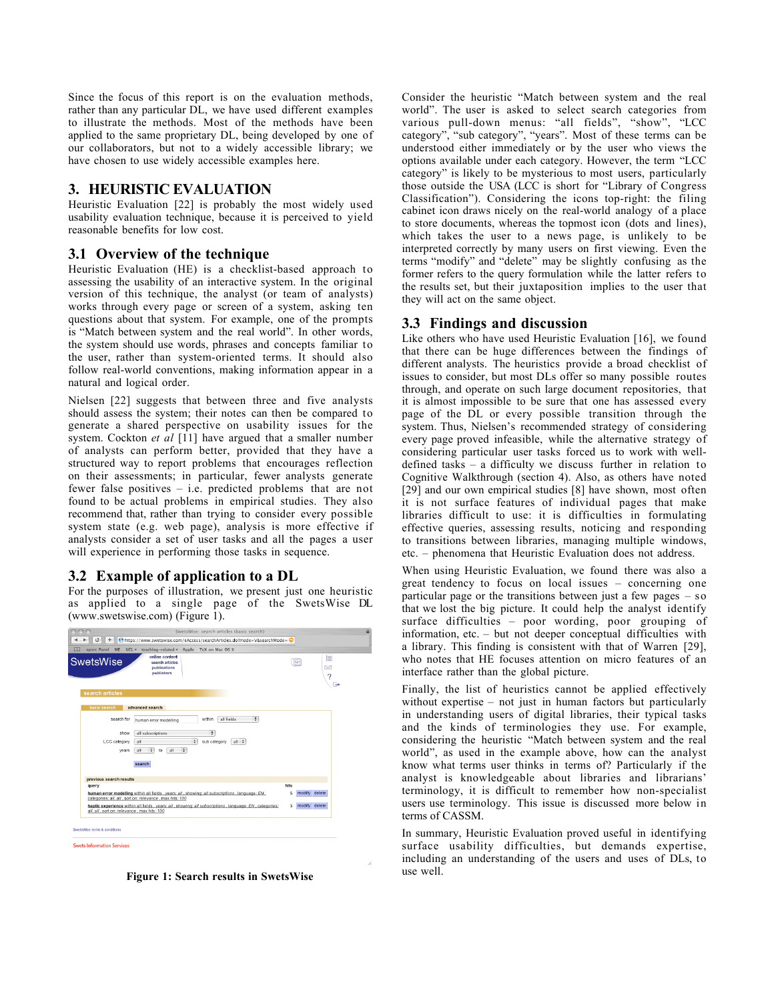Since the focus of this report is on the evaluation methods, rather than any particular DL, we have used different examples to illustrate the methods. Most of the methods have been applied to the same proprietary DL, being developed by one of our collaborators, but not to a widely accessible library; we have chosen to use widely accessible examples here.

# **3. HEURISTIC EVALUATION**

Heuristic Evaluation [22] is probably the most widely used usability evaluation technique, because it is perceived to yield reasonable benefits for low cost.

# **3.1 Overview of the technique**

Heuristic Evaluation (HE) is a checklist-based approach to assessing the usability of an interactive system. In the original version of this technique, the analyst (or team of analysts) works through every page or screen of a system, asking ten questions about that system. For example, one of the prompts is "Match between system and the real world". In other words, the system should use words, phrases and concepts familiar to the user, rather than system-oriented terms. It should also follow real-world conventions, making information appear in a natural and logical order.

Nielsen [22] suggests that between three and five analysts should assess the system; their notes can then be compared to generate a shared perspective on usability issues for the system. Cockton *et al* [11] have argued that a smaller number of analysts can perform better, provided that they have a structured way to report problems that encourages reflection on their assessments; in particular, fewer analysts generate fewer false positives – i.e. predicted problems that are not found to be actual problems in empirical studies. They also recommend that, rather than trying to consider every possible system state (e.g. web page), analysis is more effective if analysts consider a set of user tasks and all the pages a user will experience in performing those tasks in sequence.

# **3.2 Example of application to a DL**

For the purposes of illustration, we present just one heuristic as applied to a single page of the SwetsWise DL (www.swetswise.com) (Figure 1).





Consider the heuristic "Match between system and the real world". The user is asked to select search categories from various pull-down menus: "all fields", "show", "LCC category", "sub category", "years". Most of these terms can be understood either immediately or by the user who views the options available under each category. However, the term "LCC category" is likely to be mysterious to most users, particularly those outside the USA (LCC is short for "Library of Congress Classification"). Considering the icons top-right: the filing cabinet icon draws nicely on the real-world analogy of a place to store documents, whereas the topmost icon (dots and lines), which takes the user to a news page, is unlikely to be interpreted correctly by many users on first viewing. Even the terms "modify" and "delete" may be slightly confusing as the former refers to the query formulation while the latter refers to the results set, but their juxtaposition implies to the user that they will act on the same object.

# **3.3 Findings and discussion**

Like others who have used Heuristic Evaluation [16], we found that there can be huge differences between the findings of different analysts. The heuristics provide a broad checklist of issues to consider, but most DLs offer so many possible routes through, and operate on such large document repositories, that it is almost impossible to be sure that one has assessed every page of the DL or every possible transition through the system. Thus, Nielsen's recommended strategy of considering every page proved infeasible, while the alternative strategy of considering particular user tasks forced us to work with welldefined tasks – a difficulty we discuss further in relation to Cognitive Walkthrough (section 4). Also, as others have noted [29] and our own empirical studies [8] have shown, most often it is not surface features of individual pages that make libraries difficult to use: it is difficulties in formulating effective queries, assessing results, noticing and responding to transitions between libraries, managing multiple windows, etc. – phenomena that Heuristic Evaluation does not address.

When using Heuristic Evaluation, we found there was also a great tendency to focus on local issues – concerning one particular page or the transitions between just a few pages – so that we lost the big picture. It could help the analyst identify surface difficulties – poor wording, poor grouping of information, etc. – but not deeper conceptual difficulties with a library. This finding is consistent with that of Warren [29], who notes that HE focuses attention on micro features of an interface rather than the global picture.

Finally, the list of heuristics cannot be applied effectively without expertise – not just in human factors but particularly in understanding users of digital libraries, their typical tasks and the kinds of terminologies they use. For example, considering the heuristic "Match between system and the real world", as used in the example above, how can the analyst know what terms user thinks in terms of? Particularly if the analyst is knowledgeable about libraries and librarians' terminology, it is difficult to remember how non-specialist users use terminology. This issue is discussed more below in terms of CASSM.

In summary, Heuristic Evaluation proved useful in identifying surface usability difficulties, but demands expertise, including an understanding of the users and uses of DLs, to use well.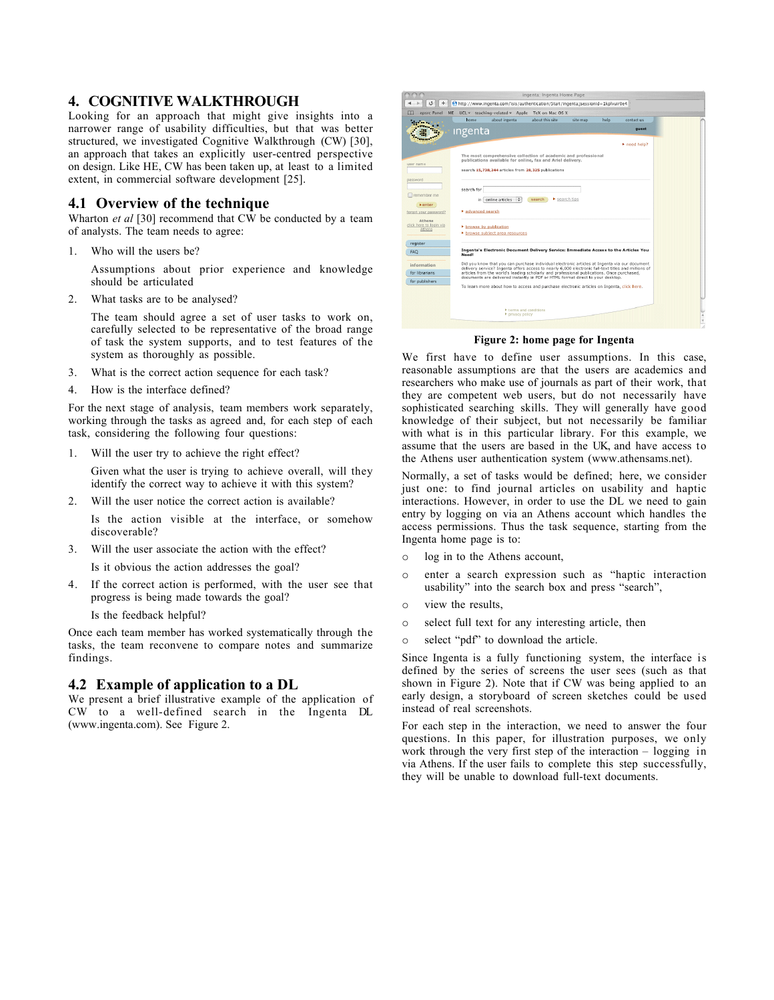## **4. COGNITIVE WALKTHROUGH**

Looking for an approach that might give insights into a narrower range of usability difficulties, but that was better structured, we investigated Cognitive Walkthrough (CW) [30], an approach that takes an explicitly user-centred perspective on design. Like HE, CW has been taken up, at least to a limited extent, in commercial software development [25].

#### **4.1 Overview of the technique**

Wharton *et al* [30] recommend that CW be conducted by a team of analysts. The team needs to agree:

1. Who will the users be?

Assumptions about prior experience and knowledge should be articulated

2. What tasks are to be analysed?

The team should agree a set of user tasks to work on, carefully selected to be representative of the broad range of task the system supports, and to test features of the system as thoroughly as possible.

- 3. What is the correct action sequence for each task?
- 4. How is the interface defined?

For the next stage of analysis, team members work separately, working through the tasks as agreed and, for each step of each task, considering the following four questions:

1. Will the user try to achieve the right effect?

Given what the user is trying to achieve overall, will they identify the correct way to achieve it with this system?

2. Will the user notice the correct action is available?

Is the action visible at the interface, or somehow discoverable?

3. Will the user associate the action with the effect?

Is it obvious the action addresses the goal?

4. If the correct action is performed, with the user see that progress is being made towards the goal?

Is the feedback helpful?

Once each team member has worked systematically through the tasks, the team reconvene to compare notes and summarize findings.

#### **4.2 Example of application to a DL**

We present a brief illustrative example of the application of CW to a well-defined search in the Ingenta DL (www.ingenta.com). See Figure 2.



**Figure 2: home page for Ingenta**

We first have to define user assumptions. In this case, reasonable assumptions are that the users are academics and researchers who make use of journals as part of their work, that they are competent web users, but do not necessarily have sophisticated searching skills. They will generally have good knowledge of their subject, but not necessarily be familiar with what is in this particular library. For this example, we assume that the users are based in the UK, and have access to the Athens user authentication system (www.athensams.net).

Normally, a set of tasks would be defined; here, we consider just one: to find journal articles on usability and haptic interactions. However, in order to use the DL we need to gain entry by logging on via an Athens account which handles the access permissions. Thus the task sequence, starting from the Ingenta home page is to:

- o log in to the Athens account,
- o enter a search expression such as "haptic interaction usability" into the search box and press "search",
- o view the results,
- o select full text for any interesting article, then
- o select "pdf" to download the article.

Since Ingenta is a fully functioning system, the interface is defined by the series of screens the user sees (such as that shown in Figure 2). Note that if CW was being applied to an early design, a storyboard of screen sketches could be used instead of real screenshots.

For each step in the interaction, we need to answer the four questions. In this paper, for illustration purposes, we only work through the very first step of the interaction – logging in via Athens. If the user fails to complete this step successfully, they will be unable to download full-text documents.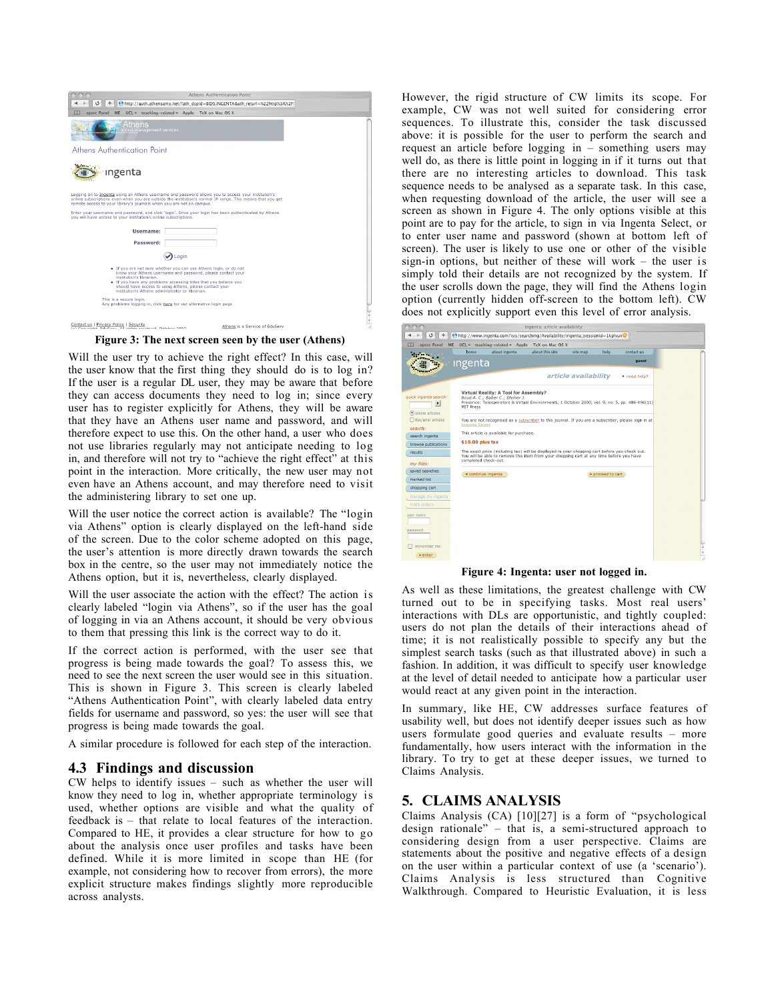

**Figure 3: The next screen seen by the user (Athens)**

Will the user try to achieve the right effect? In this case, will the user know that the first thing they should do is to log in? If the user is a regular DL user, they may be aware that before they can access documents they need to log in; since every user has to register explicitly for Athens, they will be aware that they have an Athens user name and password, and will therefore expect to use this. On the other hand, a user who does not use libraries regularly may not anticipate needing to log in, and therefore will not try to "achieve the right effect" at this point in the interaction. More critically, the new user may not even have an Athens account, and may therefore need to visit the administering library to set one up.

Will the user notice the correct action is available? The "login via Athens" option is clearly displayed on the left-hand side of the screen. Due to the color scheme adopted on this page, the user's attention is more directly drawn towards the search box in the centre, so the user may not immediately notice the Athens option, but it is, nevertheless, clearly displayed.

Will the user associate the action with the effect? The action is clearly labeled "login via Athens", so if the user has the goal of logging in via an Athens account, it should be very obvious to them that pressing this link is the correct way to do it.

If the correct action is performed, with the user see that progress is being made towards the goal? To assess this, we need to see the next screen the user would see in this situation. This is shown in Figure 3. This screen is clearly labeled "Athens Authentication Point", with clearly labeled data entry fields for username and password, so yes: the user will see that progress is being made towards the goal.

A similar procedure is followed for each step of the interaction.

#### **4.3 Findings and discussion**

CW helps to identify issues – such as whether the user will know they need to log in, whether appropriate terminology is used, whether options are visible and what the quality of feedback is – that relate to local features of the interaction. Compared to HE, it provides a clear structure for how to go about the analysis once user profiles and tasks have been defined. While it is more limited in scope than HE (for example, not considering how to recover from errors), the more explicit structure makes findings slightly more reproducible across analysts.

However, the rigid structure of CW limits its scope. For example, CW was not well suited for considering error sequences. To illustrate this, consider the task discussed above: it is possible for the user to perform the search and request an article before logging in – something users may well do, as there is little point in logging in if it turns out that there are no interesting articles to download. This task sequence needs to be analysed as a separate task. In this case, when requesting download of the article, the user will see a screen as shown in Figure 4. The only options visible at this point are to pay for the article, to sign in via Ingenta Select, or to enter user name and password (shown at bottom left of screen). The user is likely to use one or other of the visible sign-in options, but neither of these will work – the user is simply told their details are not recognized by the system. If the user scrolls down the page, they will find the Athens login option (currently hidden off-screen to the bottom left). CW does not explicitly support even this level of error analysis.



**Figure 4: Ingenta: user not logged in.**

As well as these limitations, the greatest challenge with CW turned out to be in specifying tasks. Most real users' interactions with DLs are opportunistic, and tightly coupled: users do not plan the details of their interactions ahead of time; it is not realistically possible to specify any but the simplest search tasks (such as that illustrated above) in such a fashion. In addition, it was difficult to specify user knowledge at the level of detail needed to anticipate how a particular user would react at any given point in the interaction.

In summary, like HE, CW addresses surface features of usability well, but does not identify deeper issues such as how users formulate good queries and evaluate results – more fundamentally, how users interact with the information in the library. To try to get at these deeper issues, we turned to Claims Analysis.

#### **5. CLAIMS ANALYSIS**

Claims Analysis (CA) [10][27] is a form of "psychological design rationale" – that is, a semi-structured approach to considering design from a user perspective. Claims are statements about the positive and negative effects of a design on the user within a particular context of use (a 'scenario'). Claims Analysis is less structured than Cognitive Walkthrough. Compared to Heuristic Evaluation, it is less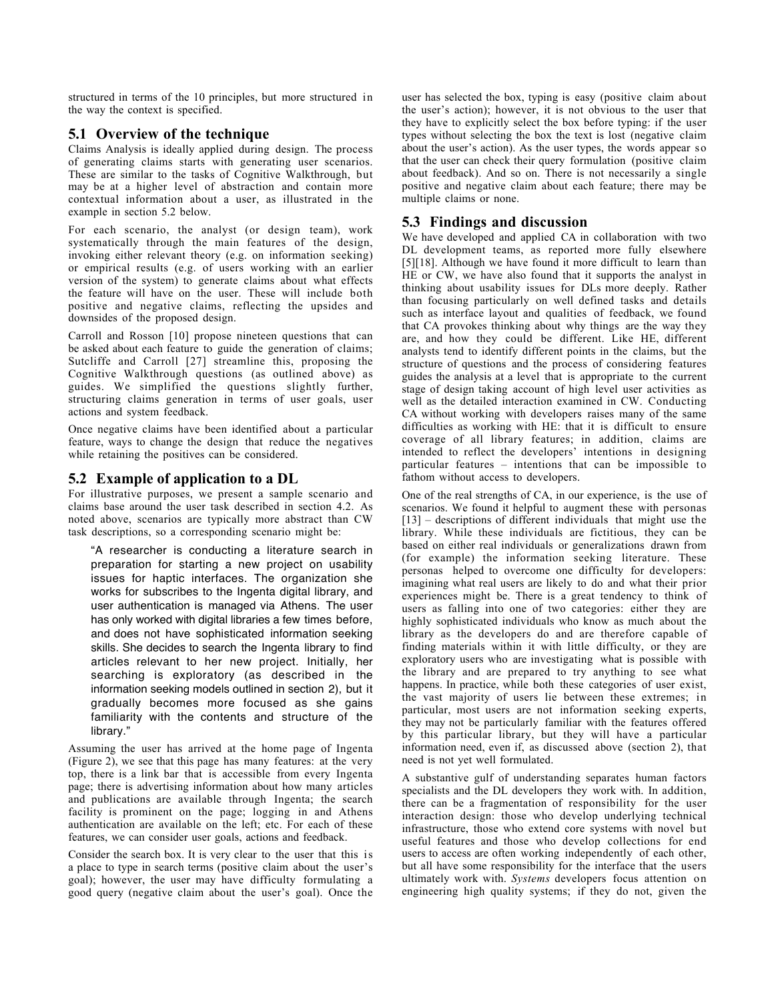structured in terms of the 10 principles, but more structured in the way the context is specified.

# **5.1 Overview of the technique**

Claims Analysis is ideally applied during design. The process of generating claims starts with generating user scenarios. These are similar to the tasks of Cognitive Walkthrough, but may be at a higher level of abstraction and contain more contextual information about a user, as illustrated in the example in section 5.2 below.

For each scenario, the analyst (or design team), work systematically through the main features of the design, invoking either relevant theory (e.g. on information seeking) or empirical results (e.g. of users working with an earlier version of the system) to generate claims about what effects the feature will have on the user. These will include both positive and negative claims, reflecting the upsides and downsides of the proposed design.

Carroll and Rosson [10] propose nineteen questions that can be asked about each feature to guide the generation of claims; Sutcliffe and Carroll [27] streamline this, proposing the Cognitive Walkthrough questions (as outlined above) as guides. We simplified the questions slightly further, structuring claims generation in terms of user goals, user actions and system feedback.

Once negative claims have been identified about a particular feature, ways to change the design that reduce the negatives while retaining the positives can be considered.

# **5.2 Example of application to a DL**

For illustrative purposes, we present a sample scenario and claims base around the user task described in section 4.2. As noted above, scenarios are typically more abstract than CW task descriptions, so a corresponding scenario might be:

"A researcher is conducting a literature search in preparation for starting a new project on usability issues for haptic interfaces. The organization she works for subscribes to the Ingenta digital library, and user authentication is managed via Athens. The user has only worked with digital libraries a few times before, and does not have sophisticated information seeking skills. She decides to search the Ingenta library to find articles relevant to her new project. Initially, her searching is exploratory (as described in the information seeking models outlined in section 2), but it gradually becomes more focused as she gains familiarity with the contents and structure of the library."

Assuming the user has arrived at the home page of Ingenta (Figure 2), we see that this page has many features: at the very top, there is a link bar that is accessible from every Ingenta page; there is advertising information about how many articles and publications are available through Ingenta; the search facility is prominent on the page; logging in and Athens authentication are available on the left; etc. For each of these features, we can consider user goals, actions and feedback.

Consider the search box. It is very clear to the user that this is a place to type in search terms (positive claim about the user's goal); however, the user may have difficulty formulating a good query (negative claim about the user's goal). Once the

user has selected the box, typing is easy (positive claim about the user's action); however, it is not obvious to the user that they have to explicitly select the box before typing: if the user types without selecting the box the text is lost (negative claim about the user's action). As the user types, the words appear so that the user can check their query formulation (positive claim about feedback). And so on. There is not necessarily a single positive and negative claim about each feature; there may be multiple claims or none.

# **5.3 Findings and discussion**

We have developed and applied CA in collaboration with two DL development teams, as reported more fully elsewhere [5][18]. Although we have found it more difficult to learn than HE or CW, we have also found that it supports the analyst in thinking about usability issues for DLs more deeply. Rather than focusing particularly on well defined tasks and details such as interface layout and qualities of feedback, we found that CA provokes thinking about why things are the way they are, and how they could be different. Like HE, different analysts tend to identify different points in the claims, but the structure of questions and the process of considering features guides the analysis at a level that is appropriate to the current stage of design taking account of high level user activities as well as the detailed interaction examined in CW. Conducting CA without working with developers raises many of the same difficulties as working with HE: that it is difficult to ensure coverage of all library features; in addition, claims are intended to reflect the developers' intentions in designing particular features – intentions that can be impossible to fathom without access to developers.

One of the real strengths of CA, in our experience, is the use of scenarios. We found it helpful to augment these with personas [13] – descriptions of different individuals that might use the library. While these individuals are fictitious, they can be based on either real individuals or generalizations drawn from (for example) the information seeking literature. These personas helped to overcome one difficulty for developers: imagining what real users are likely to do and what their prior experiences might be. There is a great tendency to think of users as falling into one of two categories: either they are highly sophisticated individuals who know as much about the library as the developers do and are therefore capable of finding materials within it with little difficulty, or they are exploratory users who are investigating what is possible with the library and are prepared to try anything to see what happens. In practice, while both these categories of user exist, the vast majority of users lie between these extremes; in particular, most users are not information seeking experts, they may not be particularly familiar with the features offered by this particular library, but they will have a particular information need, even if, as discussed above (section 2), that need is not yet well formulated.

A substantive gulf of understanding separates human factors specialists and the DL developers they work with. In addition, there can be a fragmentation of responsibility for the user interaction design: those who develop underlying technical infrastructure, those who extend core systems with novel but useful features and those who develop collections for end users to access are often working independently of each other, but all have some responsibility for the interface that the users ultimately work with. *Systems* developers focus attention on engineering high quality systems; if they do not, given the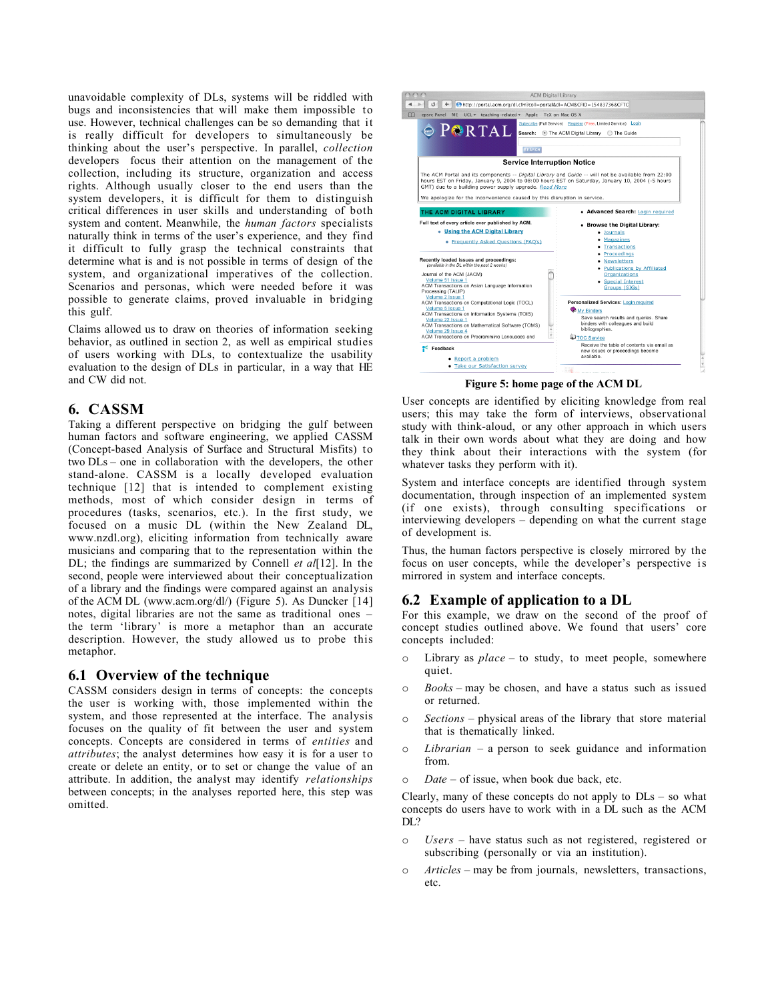unavoidable complexity of DLs, systems will be riddled with bugs and inconsistencies that will make them impossible to use. However, technical challenges can be so demanding that it is really difficult for developers to simultaneously be thinking about the user's perspective. In parallel, *collection* developers focus their attention on the management of the collection, including its structure, organization and access rights. Although usually closer to the end users than the system developers, it is difficult for them to distinguish critical differences in user skills and understanding of both system and content. Meanwhile, the *human factors* specialists naturally think in terms of the user's experience, and they find it difficult to fully grasp the technical constraints that determine what is and is not possible in terms of design of the system, and organizational imperatives of the collection. Scenarios and personas, which were needed before it was possible to generate claims, proved invaluable in bridging this gulf.

Claims allowed us to draw on theories of information seeking behavior, as outlined in section 2, as well as empirical studies of users working with DLs, to contextualize the usability evaluation to the design of DLs in particular, in a way that HE and CW did not.

#### **6. CASSM**

Taking a different perspective on bridging the gulf between human factors and software engineering, we applied CASSM (Concept-based Analysis of Surface and Structural Misfits) to two DLs – one in collaboration with the developers, the other stand-alone. CASSM is a locally developed evaluation technique [12] that is intended to complement existing methods, most of which consider design in terms of procedures (tasks, scenarios, etc.). In the first study, we focused on a music DL (within the New Zealand DL, www.nzdl.org), eliciting information from technically aware musicians and comparing that to the representation within the DL; the findings are summarized by Connell *et al*[12]. In the second, people were interviewed about their conceptualization of a library and the findings were compared against an analysis of the ACM DL (www.acm.org/dl/) (Figure 5). As Duncker [14] notes, digital libraries are not the same as traditional ones – the term 'library' is more a metaphor than an accurate description. However, the study allowed us to probe this metaphor.

#### **6.1 Overview of the technique**

CASSM considers design in terms of concepts: the concepts the user is working with, those implemented within the system, and those represented at the interface. The analysis focuses on the quality of fit between the user and system concepts. Concepts are considered in terms of *entities* and *attributes*; the analyst determines how easy it is for a user to create or delete an entity, or to set or change the value of an attribute. In addition, the analyst may identify *relationships* between concepts; in the analyses reported here, this step was omitted.



**Figure 5: home page of the ACM DL**

User concepts are identified by eliciting knowledge from real users; this may take the form of interviews, observational study with think-aloud, or any other approach in which users talk in their own words about what they are doing and how they think about their interactions with the system (for whatever tasks they perform with it).

System and interface concepts are identified through system documentation, through inspection of an implemented system (if one exists), through consulting specifications or interviewing developers – depending on what the current stage of development is.

Thus, the human factors perspective is closely mirrored by the focus on user concepts, while the developer's perspective is mirrored in system and interface concepts.

#### **6.2 Example of application to a DL**

For this example, we draw on the second of the proof of concept studies outlined above. We found that users' core concepts included:

- o Library as *place* to study, to meet people, somewhere quiet.
- o *Books* may be chosen, and have a status such as issued or returned.
- o *Sections* physical areas of the library that store material that is thematically linked.
- o *Librarian*  a person to seek guidance and information from.
- o *Date*  of issue, when book due back, etc.

Clearly, many of these concepts do not apply to  $D\mathbb{L}s - s\mathbb{O}$  what concepts do users have to work with in a DL such as the ACM DL?

- o *Users* have status such as not registered, registered or subscribing (personally or via an institution).
- o *Articles* may be from journals, newsletters, transactions, etc.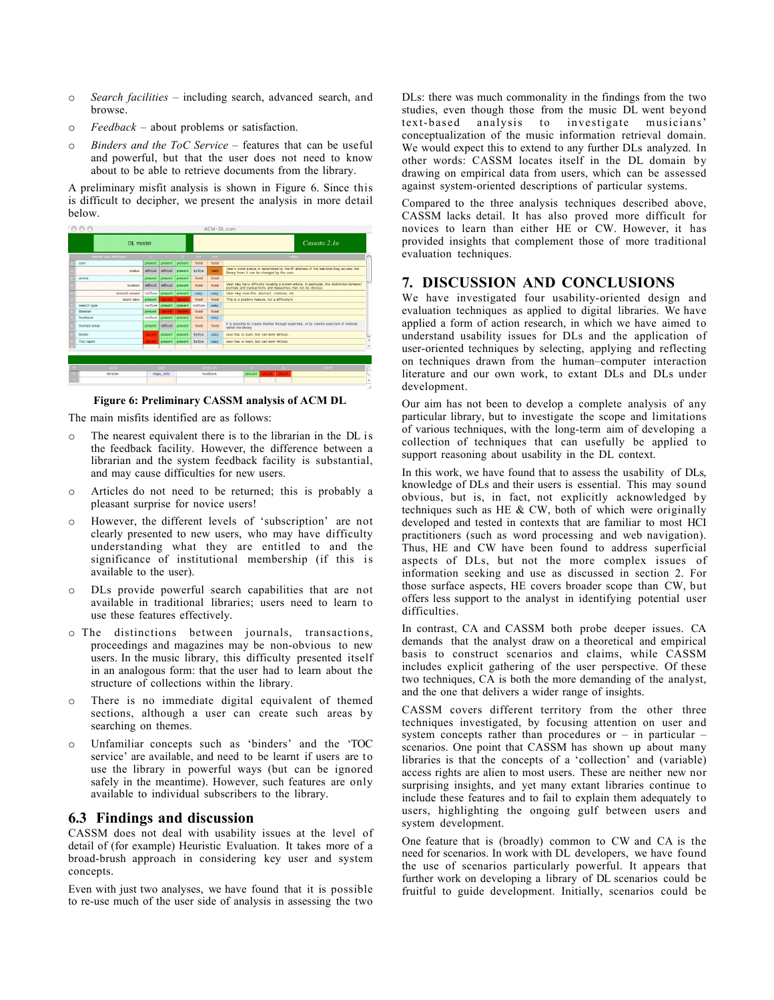- o *Search facilities*  including search, advanced search, and browse.
- o *Feedback*  about problems or satisfaction.
- o *Binders and the ToC Service* features that can be useful and powerful, but that the user does not need to know about to be able to retrieve documents from the library.

A preliminary misfit analysis is shown in Figure 6. Since this is difficult to decipher, we present the analysis in more detail below.



**Figure 6: Preliminary CASSM analysis of ACM DL**

The main misfits identified are as follows:

- o The nearest equivalent there is to the librarian in the DL is the feedback facility. However, the difference between a librarian and the system feedback facility is substantial, and may cause difficulties for new users.
- o Articles do not need to be returned; this is probably a pleasant surprise for novice users!
- o However, the different levels of 'subscription' are not clearly presented to new users, who may have difficulty understanding what they are entitled to and the significance of institutional membership (if this is available to the user).
- o DLs provide powerful search capabilities that are not available in traditional libraries; users need to learn to use these features effectively.
- o The distinctions between journals, transactions, proceedings and magazines may be non-obvious to new users. In the music library, this difficulty presented itself in an analogous form: that the user had to learn about the structure of collections within the library.
- o There is no immediate digital equivalent of themed sections, although a user can create such areas by searching on themes.
- o Unfamiliar concepts such as 'binders' and the 'TOC service' are available, and need to be learnt if users are to use the library in powerful ways (but can be ignored safely in the meantime). However, such features are only available to individual subscribers to the library.

# **6.3 Findings and discussion**

CASSM does not deal with usability issues at the level of detail of (for example) Heuristic Evaluation. It takes more of a broad-brush approach in considering key user and system concepts.

Even with just two analyses, we have found that it is possible to re-use much of the user side of analysis in assessing the two

DLs: there was much commonality in the findings from the two studies, even though those from the music DL went beyond text-based analysis to investigate musicians' conceptualization of the music information retrieval domain. We would expect this to extend to any further DLs analyzed. In other words: CASSM locates itself in the DL domain by drawing on empirical data from users, which can be assessed against system-oriented descriptions of particular systems.

Compared to the three analysis techniques described above, CASSM lacks detail. It has also proved more difficult for novices to learn than either HE or CW. However, it has provided insights that complement those of more traditional evaluation techniques.

# **7. DISCUSSION AND CONCLUSIONS**

We have investigated four usability-oriented design and evaluation techniques as applied to digital libraries. We have applied a form of action research, in which we have aimed to understand usability issues for DLs and the application of user-oriented techniques by selecting, applying and reflecting on techniques drawn from the human–computer interaction literature and our own work, to extant DLs and DLs under development.

Our aim has not been to develop a complete analysis of any particular library, but to investigate the scope and limitations of various techniques, with the long-term aim of developing a collection of techniques that can usefully be applied to support reasoning about usability in the DL context.

In this work, we have found that to assess the usability of DLs, knowledge of DLs and their users is essential. This may sound obvious, but is, in fact, not explicitly acknowledged by techniques such as HE  $& CW$ , both of which were originally developed and tested in contexts that are familiar to most HCI practitioners (such as word processing and web navigation). Thus, HE and CW have been found to address superficial aspects of DLs, but not the more complex issues of information seeking and use as discussed in section 2. For those surface aspects, HE covers broader scope than CW, but offers less support to the analyst in identifying potential user difficulties.

In contrast, CA and CASSM both probe deeper issues. CA demands that the analyst draw on a theoretical and empirical basis to construct scenarios and claims, while CASSM includes explicit gathering of the user perspective. Of these two techniques, CA is both the more demanding of the analyst, and the one that delivers a wider range of insights.

CASSM covers different territory from the other three techniques investigated, by focusing attention on user and system concepts rather than procedures or – in particular – scenarios. One point that CASSM has shown up about many libraries is that the concepts of a 'collection' and (variable) access rights are alien to most users. These are neither new nor surprising insights, and yet many extant libraries continue to include these features and to fail to explain them adequately to users, highlighting the ongoing gulf between users and system development.

One feature that is (broadly) common to CW and CA is the need for scenarios. In work with DL developers, we have found the use of scenarios particularly powerful. It appears that further work on developing a library of DL scenarios could be fruitful to guide development. Initially, scenarios could be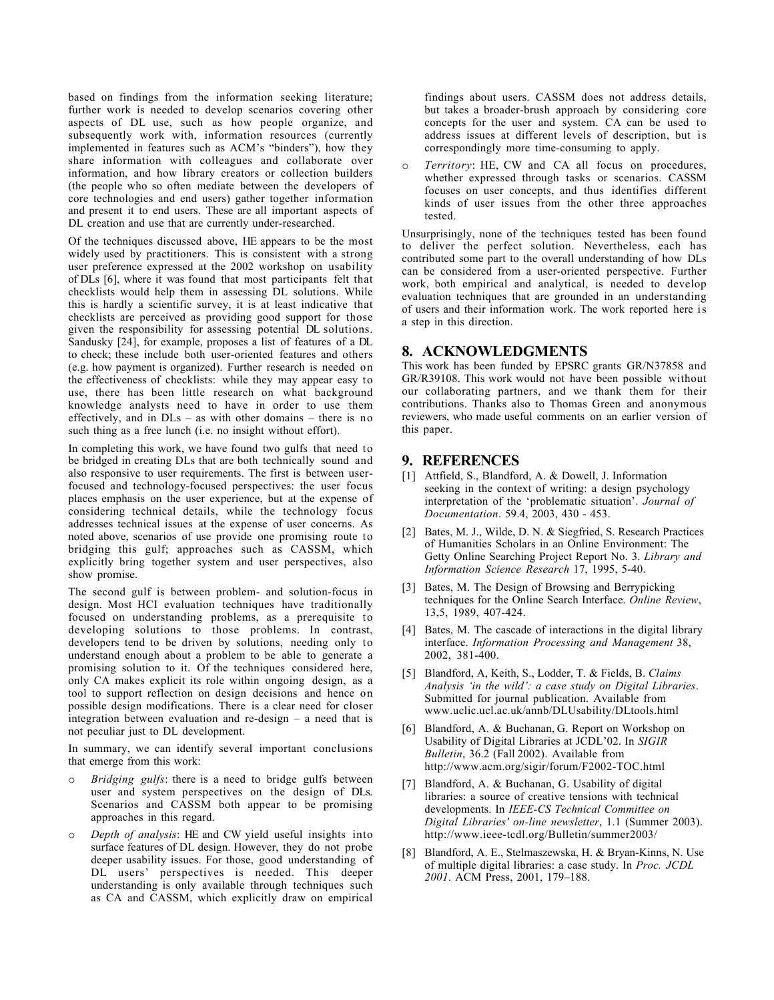based on findings from the information seeking literature; further work is needed to develop scenarios covering other aspects of DL use, such as how people organize, and subsequently work with, information resources (currently implemented in features such as ACM's "binders"), how they share information with colleagues and collaborate over information, and how library creators or collection builders (the people who so often mediate between the developers of core technologies and end users) gather together information and present it to end users. These are all important aspects of DL creation and use that are currently under-researched.

Of the techniques discussed above, HE appears to be the most widely used by practitioners. This is consistent with a strong user preference expressed at the 2002 workshop on usability of DLs [6], where it was found that most participants felt that checklists would help them in assessing DL solutions. While this is hardly a scientific survey, it is at least indicative that checklists are perceived as providing good support for those given the responsibility for assessing potential DL solutions. Sandusky [24], for example, proposes a list of features of a DL to check; these include both user-oriented features and others (e.g. how payment is organized). Further research is needed on the effectiveness of checklists: while they may appear easy to use, there has been little research on what background knowledge analysts need to have in order to use them effectively, and in DLs – as with other domains – there is no such thing as a free lunch (i.e. no insight without effort).

In completing this work, we have found two gulfs that need to be bridged in creating DLs that are both technically sound and also responsive to user requirements. The first is between userfocused and technology-focused perspectives: the user focus places emphasis on the user experience, but at the expense of considering technical details, while the technology focus addresses technical issues at the expense of user concerns. As noted above, scenarios of use provide one promising route to bridging this gulf; approaches such as CASSM, which explicitly bring together system and user perspectives, also show promise.

The second gulf is between problem- and solution-focus in design. Most HCI evaluation techniques have traditionally focused on understanding problems, as a prerequisite to developing solutions to those problems. In contrast, developers tend to be driven by solutions, needing only to understand enough about a problem to be able to generate a promising solution to it. Of the techniques considered here, only CA makes explicit its role within ongoing design, as a tool to support reflection on design decisions and hence on possible design modifications. There is a clear need for closer integration between evaluation and re-design – a need that is not peculiar just to DL development.

In summary, we can identify several important conclusions that emerge from this work:

- *Bridging gulfs*: there is a need to bridge gulfs between user and system perspectives on the design of DLs. Scenarios and CASSM both appear to be promising approaches in this regard.
- o *Depth of analysis*: HE and CW yield useful insights into surface features of DL design. However, they do not probe deeper usability issues. For those, good understanding of DL users' perspectives is needed. This deeper understanding is only available through techniques such as CA and CASSM, which explicitly draw on empirical

findings about users. CASSM does not address details, but takes a broader-brush approach by considering core concepts for the user and system. CA can be used to address issues at different levels of description, but is correspondingly more time-consuming to apply.

Territory: HE, CW and CA all focus on procedures, whether expressed through tasks or scenarios. CASSM focuses on user concepts, and thus identifies different kinds of user issues from the other three approaches tested.

Unsurprisingly, none of the techniques tested has been found to deliver the perfect solution. Nevertheless, each has contributed some part to the overall understanding of how DLs can be considered from a user-oriented perspective. Further work, both empirical and analytical, is needed to develop evaluation techniques that are grounded in an understanding of users and their information work. The work reported here is a step in this direction.

# **8. ACKNOWLEDGMENTS**

This work has been funded by EPSRC grants GR/N37858 and GR/R39108. This work would not have been possible without our collaborating partners, and we thank them for their contributions. Thanks also to Thomas Green and anonymous reviewers, who made useful comments on an earlier version of this paper.

#### **9. REFERENCES**

- [1] Attfield, S., Blandford, A. & Dowell, J. Information seeking in the context of writing: a design psychology interpretation of the 'problematic situation'. *Journal of Documentation*. 59.4, 2003, 430 - 453.
- [2] Bates, M. J., Wilde, D. N. & Siegfried, S. Research Practices of Humanities Scholars in an Online Environment: The Getty Online Searching Project Report No. 3. *Library and Information Science Research* 17, 1995, 5-40.
- [3] Bates, M. The Design of Browsing and Berrypicking techniques for the Online Search Interface. *Online Review*, 13,5, 1989, 407-424.
- [4] Bates, M. The cascade of interactions in the digital library interface. *Information Processing and Management* 38, 2002, 381-400.
- [5] Blandford, A, Keith, S., Lodder, T. & Fields, B. *Claims Analysis 'in the wild': a case study on Digital Libraries*. Submitted for journal publication. Available from www.uclic.ucl.ac.uk/annb/DLUsability/DLtools.html
- [6] Blandford, A. & Buchanan, G. Report on Workshop on Usability of Digital Libraries at JCDL'02. In *SIGIR Bulletin*, 36.2 (Fall 2002). Available from http://www.acm.org/sigir/forum/F2002-TOC.html
- [7] Blandford, A. & Buchanan, G. Usability of digital libraries: a source of creative tensions with technical developments. In *IEEE-CS Technical Committee on Digital Libraries' on-line newsletter*, 1.1 (Summer 2003). http://www.ieee-tcdl.org/Bulletin/summer2003/
- [8] Blandford, A. E., Stelmaszewska, H. & Bryan-Kinns, N. Use of multiple digital libraries: a case study. In *Proc. JCDL 2001*. ACM Press, 2001, 179–188.